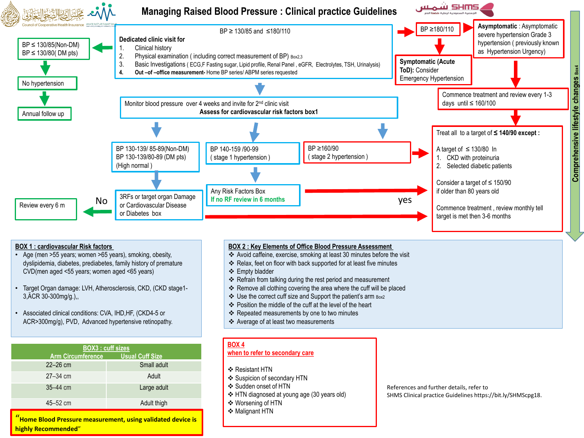

• Associated clinical conditions: CVA, IHD,HF, (CKD4-5 or ACR>300mg/g), PVD, Advanced hypertensive retinopathy.

| <b>BOX3 : cuff sizes</b> |                        |  |
|--------------------------|------------------------|--|
| <b>Arm Circumference</b> | <b>Usual Cuff Size</b> |  |
| $22 - 26$ cm             | Small adult            |  |
| $27 - 34$ cm             | Adult                  |  |
| $35 - 44$ cm             | Large adult            |  |
| 45-52 cm                 | Adult thigh            |  |
|                          |                        |  |

"**Home Blood Pressure measurement, using validated device is highly Recommended**"

- 
- Position the middle of the cuff at the level of the heart
- \* Repeated measurements by one to two minutes
- Average of at least two measurements

## **BOX 4**

#### **when to refer to secondary care**

- ❖ Resistant HTN
- ❖ Suspicion of secondary HTN
- Sudden onset of HTN
- HTN diagnosed at young age (30 years old)
- Worsening of HTN
- **❖ Malignant HTN**

References and further details, refer to SHMS Clinical practice Guidelines https://bit.ly/SHMScpg18.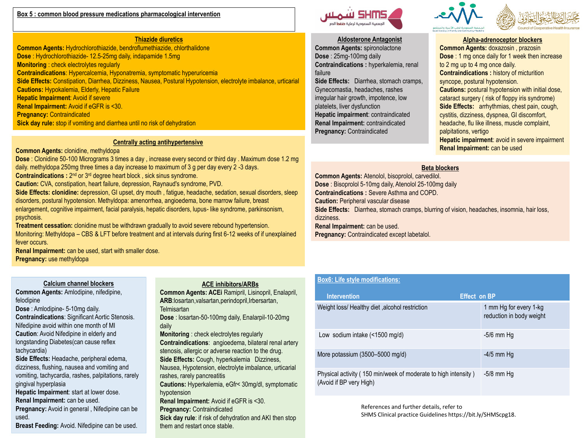#### **Box 5 : common blood pressure medications pharmacological intervention**

## **Thiazide diuretics**

**Common Agents:** Hydrochlorothiazide, bendroflumethiazide, chlorthalidone **Dose** : Hydrochlorothiazide- 12.5-25mg daily, indapamide 1.5mg **Monitoring** : check electrolytes regularly **Contraindications**: Hypercalcemia, Hyponatremia, symptomatic hyperuricemia **Side Effects:** Constipation, Diarrhea, Dizziness, Nausea, Postural Hypotension, electrolyte imbalance, urticarial **Cautions:** Hypokalemia, Elderly, Hepatic Failure **Hepatic Impairment**: Avoid if severe **Renal Impairment:** Avoid if eGFR is <30. **Pregnancy:** Contraindicated **Sick day rule:** stop if vomiting and diarrhea until no risk of dehydration

## **Centrally acting antihypertensive**

#### **Common Agents:** clonidine, methyldopa

**Dose** : Clonidine 50-100 Micrograms 3 times a day , increase every second or third day . Maximum dose 1.2 mg daily. methyldopa 250mg three times a day increase to maximum of 3 g per day every 2 -3 days. **Contraindications :** 2<sup>nd</sup> or 3<sup>rd</sup> degree heart block, sick sinus syndrome. **Caution:** CVA, constipation, heart failure, depression, Raynaud's syndrome, PVD. **Side Effects: clonidine:** depression, GI upset, dry mouth , fatigue, headache, sedation, sexual disorders, sleep disorders, postural hypotension. Methyldopa: amenorrhea, angioedema, bone marrow failure, breast enlargement, cognitive impairment, facial paralysis, hepatic disorders, lupus- like syndrome, parkinsonism, psychosis. **Treatment cessation:** clonidine must be withdrawn gradually to avoid severe rebound hypertension.

Monitoring: Methyldopa – CBS & LFT before treatment and at intervals during first 6-12 weeks of if unexplained fever occurs.

**Renal Impairment:** can be used, start with smaller dose. **Pregnancy:** use methyldopa

## **Calcium channel blockers**

**Common Agents:** Amlodipine, nifedipine, felodipine

**Dose** : Amlodipine- 5-10mg daily. **Contraindications**: Significant Aortic Stenosis. Nifedipine avoid within one month of MI

**Caution**: Avoid Nifedipine in elderly and longstanding Diabetes(can cause reflex tachycardia)

**Side Effects:** Headache, peripheral edema, dizziness, flushing, nausea and vomiting and vomiting, tachycardia, rashes, palpitations, rarely gingival hyperplasia

**Hepatic Impairment**: start at lower dose. **Renal Impairment:** can be used.

**Pregnancy:** Avoid in general , Nifedipine can be used.

**Breast Feeding:** Avoid. Nifedipine can be used.

## **ACE inhibitors/ARBs**

**Common Agents: ACEi** Ramipril, Lisinopril, Enalapril, **ARB**:losartan,valsartan,perindopril,Irbersartan, **Telmisartan** 

**Dose** : losartan-50-100mg daily, Enalarpil-10-20mg daily

**Monitoring** : check electrolytes regularly **Contraindications**: angioedema, bilateral renal artery stenosis, allergic or adverse reaction to the drug. **Side Effects:** Cough, hyperkalemia Dizziness, Nausea, Hypotension, electrolyte imbalance, urticarial rashes, rarely pancreatitis **Cautions:** Hyperkalemia, eGfr< 30mg/dl, symptomatic hypotension

**Renal Impairment:** Avoid if eGFR is <30. **Pregnancy:** Contraindicated **Sick day rule**: if risk of dehydration and AKI then stop them and restart once stable.



## **Aldosterone Antagonist**

**Common Agents:** spironolactone **Dose** : 25mg-100mg daily **Contraindications :** hyperkalemia, renal failure

**Side Effects:** Diarrhea, stomach cramps, Gynecomastia, headaches, rashes irregular hair growth, impotence, low platelets, liver dysfunction **Hepatic impairment**: contraindicated **Renal Impairment:** contraindicated **Pregnancy:** Contraindicated



## **Alpha-adrenoceptor blockers**

**Common Agents:** doxazosin , prazosin **Dose** : 1 mg once daily for 1 week then increase to 2 mg up to 4 mg once daily. **Contraindications :** history of micturition syncope, postural hypotension. **Cautions:** postural hypotension with initial dose, cataract surgery ( risk of floppy iris syndrome) **Side Effects:** arrhythmias, chest pain, cough, cystitis, dizziness, dyspnea, GI discomfort, headache, flu like illness, muscle complaint, palpitations, vertigo **Hepatic impairment**: avoid in severe impairment **Renal Impairment:** can be used

## **Beta blockers**

**Common Agents:** Atenolol, bisoprolol, carvedilol. **Dose** : Bisoprolol 5-10mg daily, Atenolol 25-100mg daily **Contraindications :** Severe Asthma and COPD. **Caution: Peripheral vascular disease Side Effects:** Diarrhea, stomach cramps, blurring of vision, headaches, insomnia, hair loss, dizziness. **Renal Impairment:** can be used. **Pregnancy: Contraindicated except labetalol.** 

# **Box6: Life style modifications:**

| <b>Intervention</b>                                                                       | <b>Effect on BP</b>                                |
|-------------------------------------------------------------------------------------------|----------------------------------------------------|
| Weight loss/ Healthy diet, alcohol restriction                                            | 1 mm Hg for every 1-kg<br>reduction in body weight |
| Low sodium intake $($ < 1500 mg/d)                                                        | $-5/6$ mm Hg                                       |
| More potassium $(3500 - 5000 \text{ mg/d})$                                               | $-4/5$ mm Hg                                       |
| Physical activity (150 min/week of moderate to high intensity)<br>(Avoid if BP very High) | $-5/8$ mm Hg                                       |

References and further details, refer to SHMS Clinical practice Guidelines https://bit.ly/SHMScpg18.